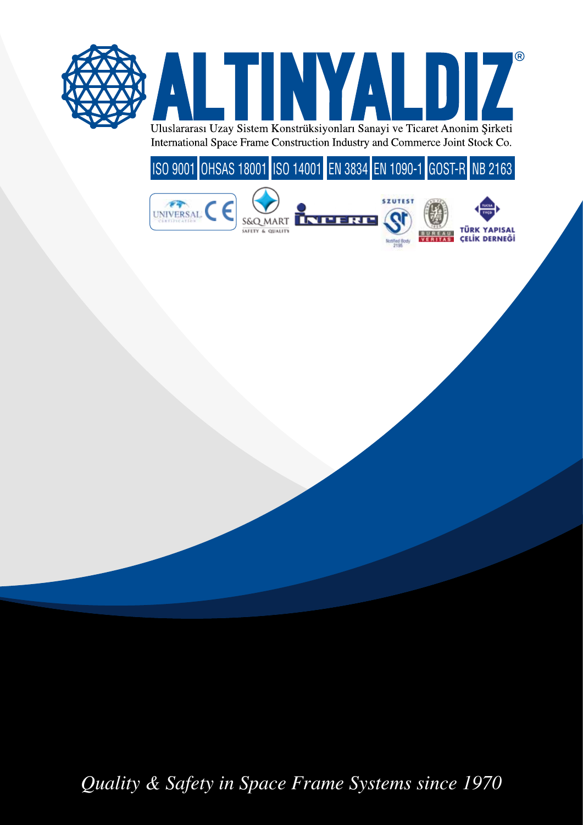

ISO 9001 OHSAS 18001 ISO 14001 EN 3834 EN 1090-1 GOST-R NB 2163



*Quality & Safety in Space Frame Systems since 1970*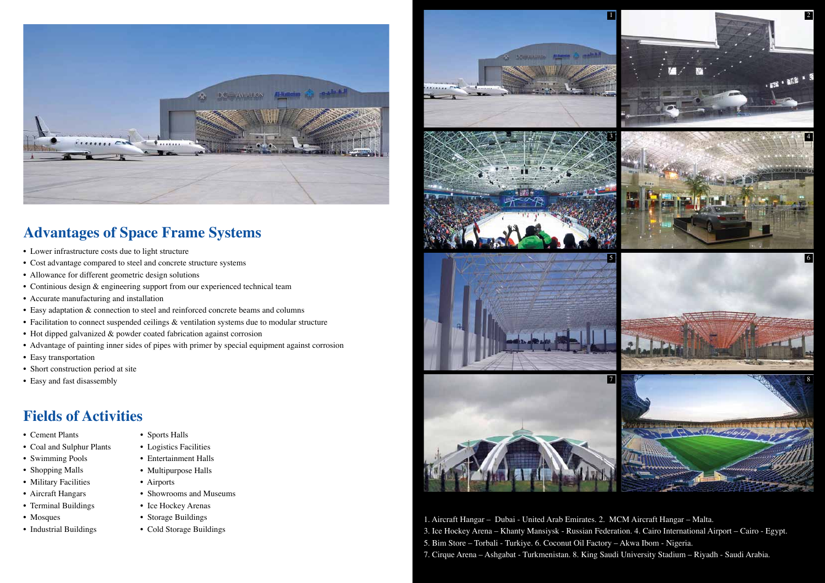1. Aircraft Hangar – Dubai - United Arab Emirates. 2. MCM Aircraft Hangar – Malta. 3. Ice Hockey Arena – Khanty Mansiysk - Russian Federation. 4. Cairo International Airport – Cairo - Egypt. 5. Bim Store – Torbali - Turkiye. 6. Coconut Oil Factory – Akwa Ibom - Nigeria. 7. Cirque Arena – Ashgabat - Turkmenistan. 8. King Saudi University Stadium – Riyadh - Saudi Arabia.









## **Advantages of Space Frame Systems**

## **Fields of Activities**

- Lower infrastructure costs due to light structure
- Cost advantage compared to steel and concrete structure systems
- Allowance for different geometric design solutions
- Continious design & engineering support from our experienced technical team
- Accurate manufacturing and installation
- Easy adaptation & connection to steel and reinforced concrete beams and columns
- Facilitation to connect suspended ceilings & ventilation systems due to modular structure
- Hot dipped galvanized & powder coated fabrication against corrosion
- Advantage of painting inner sides of pipes with primer by special equipment against corrosion
- Easy transportation
- Short construction period at site
- Easy and fast disassembly

- Cement Plants
- Coal and Sulphur Plants
- Swimming Pools
- Shopping Malls
- Military Facilities
- Aircraft Hangars
- Terminal Buildings
- Mosques
- Industrial Buildings
- Sports Halls
- Logistics Facilities
- Entertainment Halls
- Multipurpose Halls
- Airports
- Showrooms and Museums
- Ice Hockey Arenas
- Storage Buildings
- Cold Storage Buildings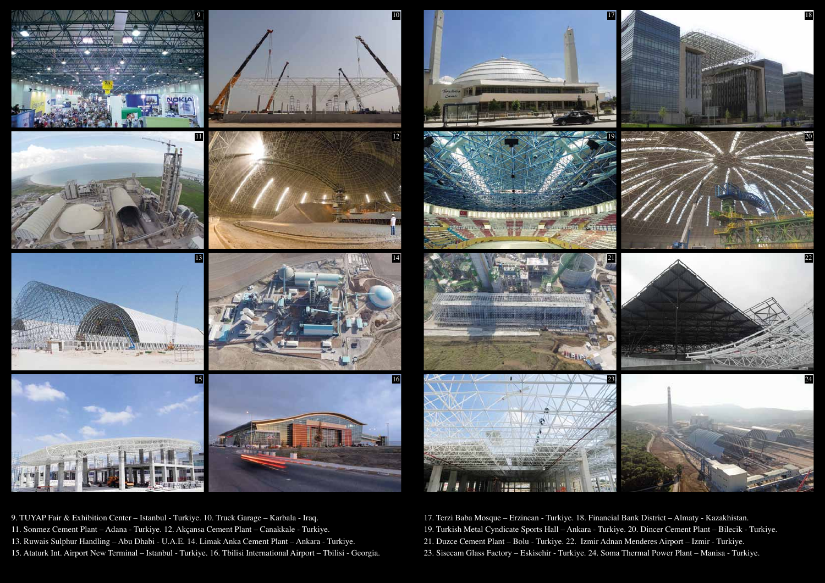17. Terzi Baba Mosque – Erzincan - Turkiye. 18. Financial Bank District – Almaty - Kazakhistan. 19. Turkish Metal Cyndicate Sports Hall – Ankara - Turkiye. 20. Dincer Cement Plant – Bilecik - Turkiye. 21. Duzce Cement Plant – Bolu - Turkiye. 22. Izmir Adnan Menderes Airport – Izmir - Turkiye. 23. Sisecam Glass Factory – Eskisehir - Turkiye. 24. Soma Thermal Power Plant – Manisa - Turkiye.

9. TUYAP Fair & Exhibition Center – Istanbul - Turkiye. 10. Truck Garage – Karbala - Iraq. 11. Sonmez Cement Plant – Adana - Turkiye. 12. Akçansa Cement Plant – Canakkale - Turkiye. 13. Ruwais Sulphur Handling – Abu Dhabi - U.A.E. 14. Limak Anka Cement Plant – Ankara - Turkiye. 15. Ataturk Int. Airport New Terminal – Istanbul - Turkiye. 16. Tbilisi International Airport – Tbilisi - Georgia.





















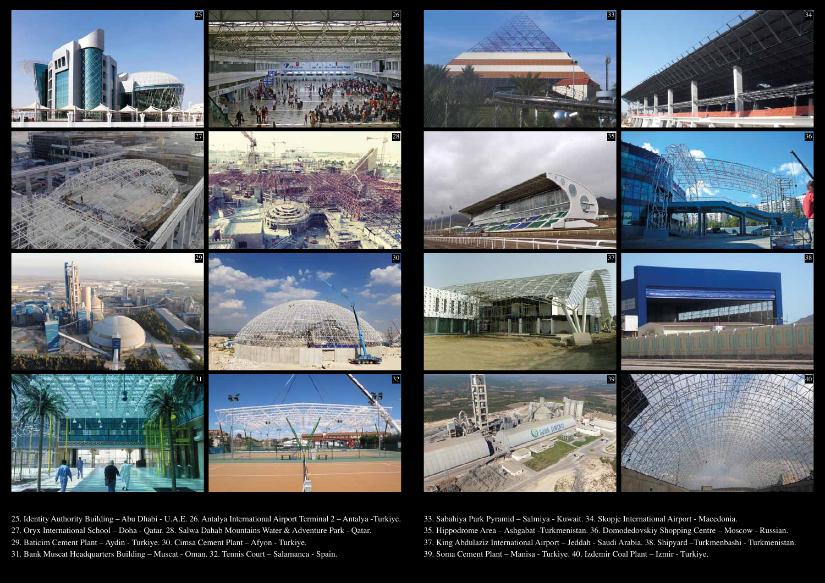33. Sabahiya Park Pyramid – Salmiya - Kuwait. 34. Skopje International Airport - Macedonia. 35. Hippodrome Area – Ashgabat -Turkmenistan. 36. Domodedovskiy Shopping Centre – Moscow - Russian. 37. King Abdulaziz International Airport – Jeddah - Saudi Arabia. 38. Shipyard –Turkmenbashi - Turkmenistan. 39. Soma Cement Plant – Manisa - Turkiye. 40. Izdemir Coal Plant – Izmir - Turkiye.

25. Identity Authority Building – Abu Dhabi - U.A.E. 26. Antalya International Airport Terminal 2 – Antalya -Turkiye.

- 27. Oryx International School Doha Qatar. 28. Salwa Dahab Mountains Water & Adventure Park Qatar.
- 29. Baticim Cement Plant Aydin Turkiye. 30. Cimsa Cement Plant Afyon Turkiye.
- 31. Bank Muscat Headquarters Building Muscat Oman. 32. Tennis Court Salamanca Spain.